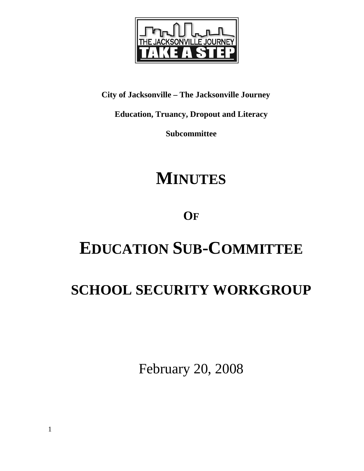

**City of Jacksonville – The Jacksonville Journey** 

**Education, Truancy, Dropout and Literacy** 

**Subcommittee** 

# **MINUTES**

## **OF**

# **EDUCATION SUB-COMMITTEE**

# **SCHOOL SECURITY WORKGROUP**

February 20, 2008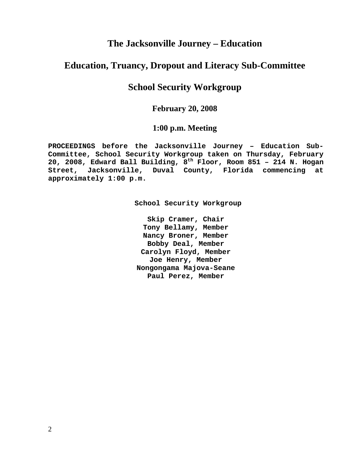### **The Jacksonville Journey – Education**

### **Education, Truancy, Dropout and Literacy Sub-Committee**

### **School Security Workgroup**

#### **February 20, 2008**

#### **1:00 p.m. Meeting**

**PROCEEDINGS before the Jacksonville Journey – Education Sub-Committee, School Security Workgroup taken on Thursday, February 20, 2008, Edward Ball Building, 8th Floor, Room 851 – 214 N. Hogan Street, Jacksonville, Duval County, Florida commencing at approximately 1:00 p.m.** 

**School Security Workgroup** 

**Skip Cramer, Chair Tony Bellamy, Member Nancy Broner, Member Bobby Deal, Member Carolyn Floyd, Member Joe Henry, Member Nongongama Majova-Seane Paul Perez, Member**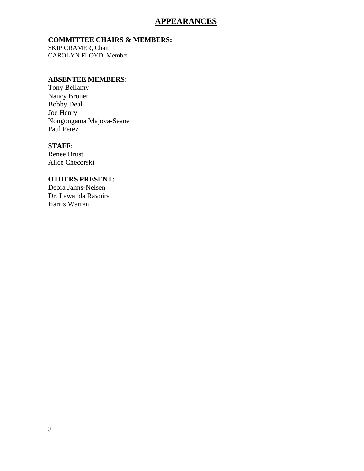#### **APPEARANCES**

#### **COMMITTEE CHAIRS & MEMBERS:**

SKIP CRAMER, Chair CAROLYN FLOYD, Member

#### **ABSENTEE MEMBERS:**

Tony Bellamy Nancy Broner Bobby Deal Joe Henry Nongongama Majova-Seane Paul Perez

#### **STAFF:**

Renee Brust Alice Checorski

#### **OTHERS PRESENT:**

Debra Jahns-Nelsen Dr. Lawanda Ravoira Harris Warren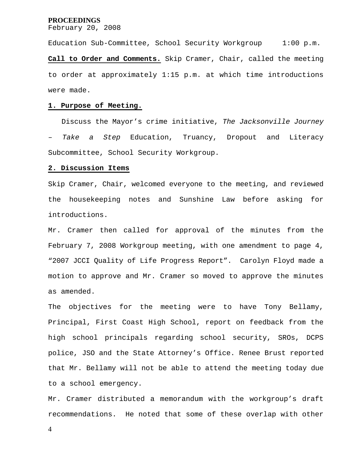February 20, 2008

Education Sub-Committee, School Security Workgroup 1:00 p.m. **Call to Order and Comments.** Skip Cramer, Chair, called the meeting to order at approximately 1:15 p.m. at which time introductions were made.

#### **1. Purpose of Meeting.**

 Discuss the Mayor's crime initiative, *The Jacksonville Journey*  Take a Step Education, Truancy, Dropout and Literacy Subcommittee, School Security Workgroup.

#### **2. Discussion Items**

Skip Cramer, Chair, welcomed everyone to the meeting, and reviewed the housekeeping notes and Sunshine Law before asking for introductions.

Mr. Cramer then called for approval of the minutes from the February 7, 2008 Workgroup meeting, with one amendment to page 4, "2007 JCCI Quality of Life Progress Report". Carolyn Floyd made a motion to approve and Mr. Cramer so moved to approve the minutes as amended.

The objectives for the meeting were to have Tony Bellamy, Principal, First Coast High School, report on feedback from the high school principals regarding school security, SROs, DCPS police, JSO and the State Attorney's Office. Renee Brust reported that Mr. Bellamy will not be able to attend the meeting today due to a school emergency.

Mr. Cramer distributed a memorandum with the workgroup's draft recommendations. He noted that some of these overlap with other

4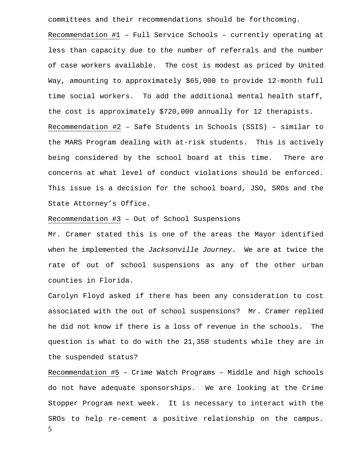committees and their recommendations should be forthcoming.

Recommendation #1 – Full Service Schools – currently operating at less than capacity due to the number of referrals and the number of case workers available. The cost is modest as priced by United Way, amounting to approximately \$65,000 to provide 12-month full time social workers. To add the additional mental health staff, the cost is approximately \$720,000 annually for 12 therapists. Recommendation #2 – Safe Students in Schools (SSIS) – similar to the MARS Program dealing with at-risk students. This is actively being considered by the school board at this time. There are concerns at what level of conduct violations should be enforced. This issue is a decision for the school board, JSO, SROs and the State Attorney's Office.

Recommendation #3 – Out of School Suspensions

Mr. Cramer stated this is one of the areas the Mayor identified when he implemented the *Jacksonville Journey*. We are at twice the rate of out of school suspensions as any of the other urban counties in Florida.

Carolyn Floyd asked if there has been any consideration to cost associated with the out of school suspensions? Mr. Cramer replied he did not know if there is a loss of revenue in the schools. The question is what to do with the 21,358 students while they are in the suspended status?

5 Recommendation #5 – Crime Watch Programs – Middle and high schools do not have adequate sponsorships. We are looking at the Crime Stopper Program next week. It is necessary to interact with the SROs to help re-cement a positive relationship on the campus.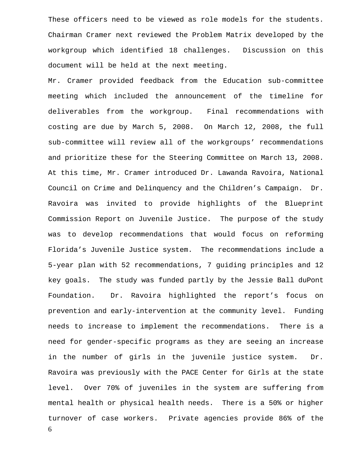These officers need to be viewed as role models for the students. Chairman Cramer next reviewed the Problem Matrix developed by the workgroup which identified 18 challenges. Discussion on this document will be held at the next meeting.

6 Mr. Cramer provided feedback from the Education sub-committee meeting which included the announcement of the timeline for deliverables from the workgroup. Final recommendations with costing are due by March 5, 2008. On March 12, 2008, the full sub-committee will review all of the workgroups' recommendations and prioritize these for the Steering Committee on March 13, 2008. At this time, Mr. Cramer introduced Dr. Lawanda Ravoira, National Council on Crime and Delinquency and the Children's Campaign. Dr. Ravoira was invited to provide highlights of the Blueprint Commission Report on Juvenile Justice. The purpose of the study was to develop recommendations that would focus on reforming Florida's Juvenile Justice system. The recommendations include a 5-year plan with 52 recommendations, 7 guiding principles and 12 key goals. The study was funded partly by the Jessie Ball duPont Foundation. Dr. Ravoira highlighted the report's focus on prevention and early-intervention at the community level. Funding needs to increase to implement the recommendations. There is a need for gender-specific programs as they are seeing an increase in the number of girls in the juvenile justice system. Dr. Ravoira was previously with the PACE Center for Girls at the state level. Over 70% of juveniles in the system are suffering from mental health or physical health needs. There is a 50% or higher turnover of case workers. Private agencies provide 86% of the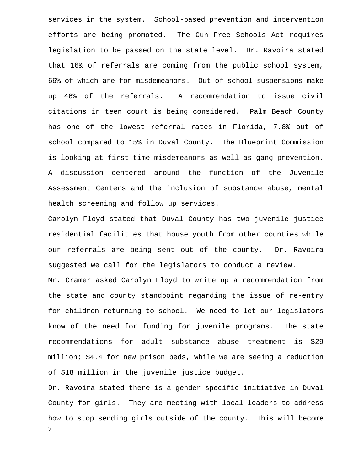services in the system. School-based prevention and intervention efforts are being promoted. The Gun Free Schools Act requires legislation to be passed on the state level. Dr. Ravoira stated that 16& of referrals are coming from the public school system, 66% of which are for misdemeanors. Out of school suspensions make up 46% of the referrals. A recommendation to issue civil citations in teen court is being considered. Palm Beach County has one of the lowest referral rates in Florida, 7.8% out of school compared to 15% in Duval County. The Blueprint Commission is looking at first-time misdemeanors as well as gang prevention. A discussion centered around the function of the Juvenile Assessment Centers and the inclusion of substance abuse, mental health screening and follow up services.

Carolyn Floyd stated that Duval County has two juvenile justice residential facilities that house youth from other counties while our referrals are being sent out of the county. Dr. Ravoira suggested we call for the legislators to conduct a review.

Mr. Cramer asked Carolyn Floyd to write up a recommendation from the state and county standpoint regarding the issue of re-entry for children returning to school. We need to let our legislators know of the need for funding for juvenile programs. The state recommendations for adult substance abuse treatment is \$29 million; \$4.4 for new prison beds, while we are seeing a reduction of \$18 million in the juvenile justice budget.

7 Dr. Ravoira stated there is a gender-specific initiative in Duval County for girls. They are meeting with local leaders to address how to stop sending girls outside of the county. This will become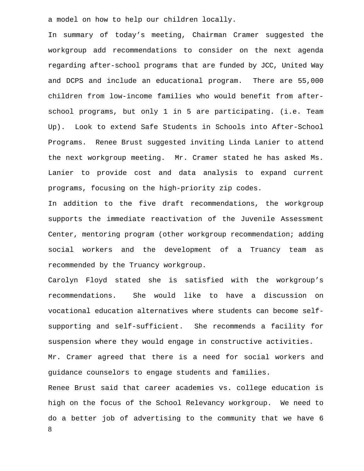a model on how to help our children locally.

In summary of today's meeting, Chairman Cramer suggested the workgroup add recommendations to consider on the next agenda regarding after-school programs that are funded by JCC, United Way and DCPS and include an educational program. There are 55,000 children from low-income families who would benefit from afterschool programs, but only 1 in 5 are participating. (i.e. Team Up). Look to extend Safe Students in Schools into After-School Programs. Renee Brust suggested inviting Linda Lanier to attend the next workgroup meeting. Mr. Cramer stated he has asked Ms. Lanier to provide cost and data analysis to expand current programs, focusing on the high-priority zip codes.

In addition to the five draft recommendations, the workgroup supports the immediate reactivation of the Juvenile Assessment Center, mentoring program (other workgroup recommendation; adding social workers and the development of a Truancy team as recommended by the Truancy workgroup.

8 Carolyn Floyd stated she is satisfied with the workgroup's recommendations. She would like to have a discussion on vocational education alternatives where students can become selfsupporting and self-sufficient. She recommends a facility for suspension where they would engage in constructive activities. Mr. Cramer agreed that there is a need for social workers and guidance counselors to engage students and families. Renee Brust said that career academies vs. college education is high on the focus of the School Relevancy workgroup. We need to do a better job of advertising to the community that we have 6